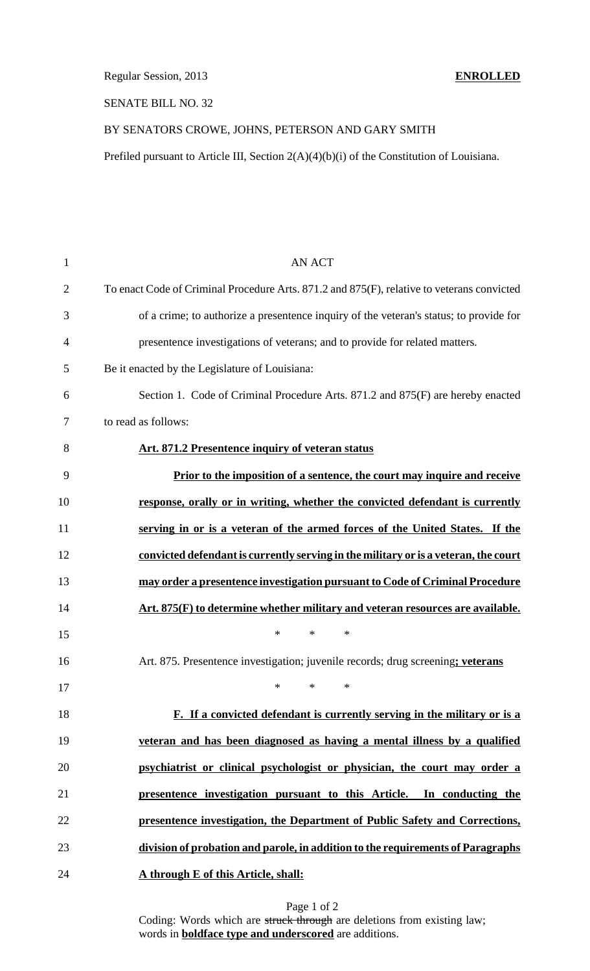Regular Session, 2013 **ENROLLED**

#### SENATE BILL NO. 32

#### BY SENATORS CROWE, JOHNS, PETERSON AND GARY SMITH

Prefiled pursuant to Article III, Section 2(A)(4)(b)(i) of the Constitution of Louisiana.

| $\mathbf{1}$   | <b>AN ACT</b>                                                                              |
|----------------|--------------------------------------------------------------------------------------------|
| $\overline{2}$ | To enact Code of Criminal Procedure Arts. 871.2 and 875(F), relative to veterans convicted |
| 3              | of a crime; to authorize a presentence inquiry of the veteran's status; to provide for     |
| 4              | presentence investigations of veterans; and to provide for related matters.                |
| 5              | Be it enacted by the Legislature of Louisiana:                                             |
| 6              | Section 1. Code of Criminal Procedure Arts. 871.2 and 875(F) are hereby enacted            |
| 7              | to read as follows:                                                                        |
| 8              | <b>Art. 871.2 Presentence inquiry of veteran status</b>                                    |
| 9              | Prior to the imposition of a sentence, the court may inquire and receive                   |
| 10             | response, orally or in writing, whether the convicted defendant is currently               |
| 11             | serving in or is a veteran of the armed forces of the United States. If the                |
| 12             | convicted defendant is currently serving in the military or is a veteran, the court        |
| 13             | may order a presentence investigation pursuant to Code of Criminal Procedure               |
| 14             | Art. 875(F) to determine whether military and veteran resources are available.             |
| 15             | $\ast$<br>$\ast$<br>$\ast$                                                                 |
| 16             | Art. 875. Presentence investigation; juvenile records; drug screening; veterans            |
| 17             | $\ast$<br>∗<br>*                                                                           |
| 18             | F. If a convicted defendant is currently serving in the military or is a                   |
| 19             | veteran and has been diagnosed as having a mental illness by a qualified                   |
| 20             | psychiatrist or clinical psychologist or physician, the court may order a                  |
| 21             | presentence investigation pursuant to this Article. In conducting the                      |
| 22             | presentence investigation, the Department of Public Safety and Corrections,                |
| 23             | division of probation and parole, in addition to the requirements of Paragraphs            |
| 24             | A through E of this Article, shall:                                                        |

Page 1 of 2 Coding: Words which are struck through are deletions from existing law; words in **boldface type and underscored** are additions.